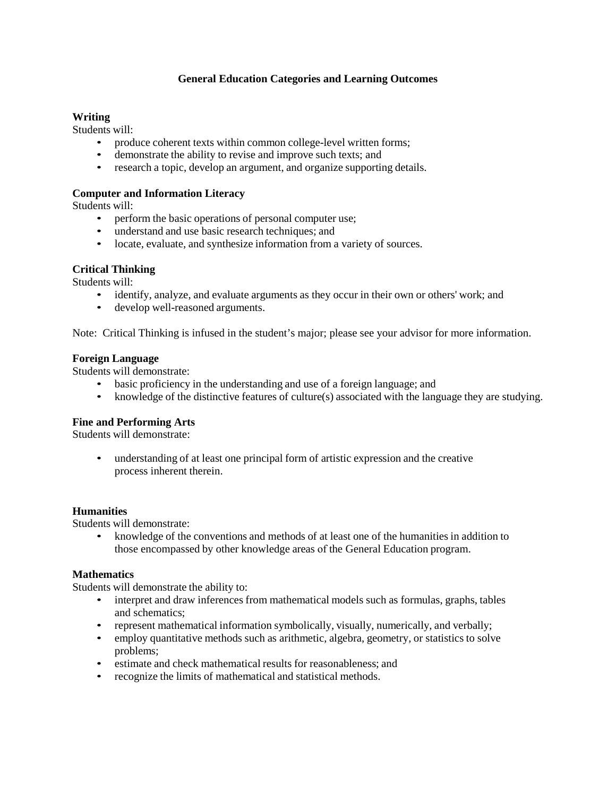## **General Education Categories and Learning Outcomes**

## **Writing**

Students will:

- produce coherent texts within common college-level written forms;
- demonstrate the ability to revise and improve such texts; and
- research a topic, develop an argument, and organize supporting details.

### **Computer and Information Literacy**

Students will:

- perform the basic operations of personal computer use;
- understand and use basic research techniques; and
- locate, evaluate, and synthesize information from a variety of sources.

### **Critical Thinking**

Students will:

- identify, analyze, and evaluate arguments as they occur in their own or others' work; and
- develop well-reasoned arguments.

Note: Critical Thinking is infused in the student's major; please see your advisor for more information.

#### **Foreign Language**

Students will demonstrate:

- basic proficiency in the understanding and use of a foreign language; and
- knowledge of the distinctive features of culture(s) associated with the language they are studying.

### **Fine and Performing Arts**

Students will demonstrate:

• understanding of at least one principal form of artistic expression and the creative process inherent therein.

### **Humanities**

Students will demonstrate:

• knowledge of the conventions and methods of at least one of the humanities in addition to those encompassed by other knowledge areas of the General Education program.

#### **Mathematics**

Students will demonstrate the ability to:

- interpret and draw inferences from mathematical models such as formulas, graphs, tables and schematics;
- represent mathematical information symbolically, visually, numerically, and verbally;
- employ quantitative methods such as arithmetic, algebra, geometry, or statistics to solve problems;
- estimate and check mathematical results for reasonableness; and
- recognize the limits of mathematical and statistical methods.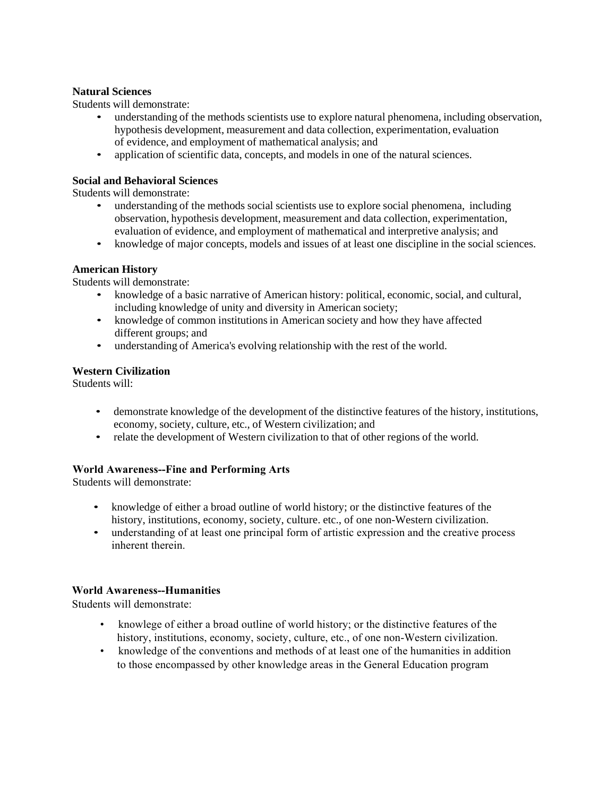### **Natural Sciences**

Students will demonstrate:

- understanding of the methods scientists use to explore natural phenomena, including observation, hypothesis development, measurement and data collection, experimentation, evaluation of evidence, and employment of mathematical analysis; and
- application of scientific data, concepts, and models in one of the natural sciences.

# **Social and Behavioral Sciences**

Students will demonstrate:

- understanding of the methods social scientists use to explore social phenomena, including observation, hypothesis development, measurement and data collection, experimentation, evaluation of evidence, and employment of mathematical and interpretive analysis; and
- knowledge of major concepts, models and issues of at least one discipline in the social sciences.

# **American History**

Students will demonstrate:

- knowledge of a basic narrative of American history: political, economic, social, and cultural, including knowledge of unity and diversity in American society;
- knowledge of common institutions in American society and how they have affected different groups; and
- understanding of America's evolving relationship with the rest of the world.

# **Western Civilization**

Students will:

- demonstrate knowledge of the development of the distinctive features of the history, institutions, economy, society, culture, etc., of Western civilization; and
- relate the development of Western civilization to that of other regions of the world.

# **World Awareness--Fine and Performing Arts**

Students will demonstrate:

- knowledge of either a broad outline of world history; or the distinctive features of the history, institutions, economy, society, culture. etc., of one non-Western civilization.
- understanding of at least one principal form of artistic expression and the creative process inherent therein.

### **World Awareness--Humanities**

Students will demonstrate:

- knowlege of either a broad outline of world history; or the distinctive features of the history, institutions, economy, society, culture, etc., of one non-Western civilization.
- knowledge of the conventions and methods of at least one of the humanities in addition to those encompassed by other knowledge areas in the General Education program